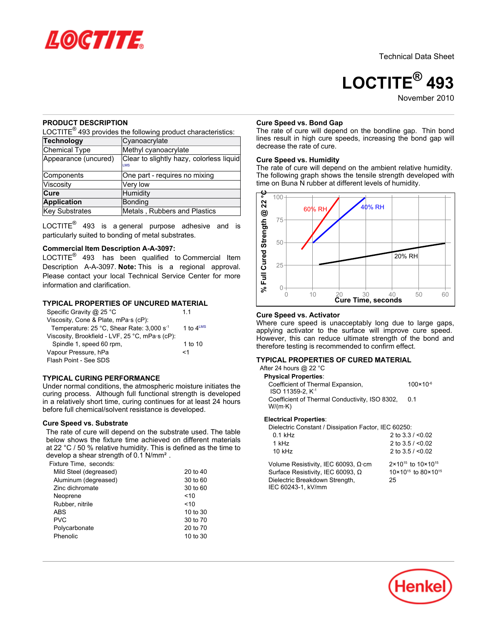

**LOCTITE® 493** November<sub>2010</sub>

## **PRODUCT DESCRIPTION**

LOCTITE $^{\circledR}$  493 provides the following product characteristics:

| <b>Technology</b>     | Cyanoacrylate                                          |
|-----------------------|--------------------------------------------------------|
| Chemical Type         | Methyl cyanoacrylate                                   |
| Appearance (uncured)  | Clear to slightly hazy, colorless liquid<br><b>IMS</b> |
| Components            | One part - requires no mixing                          |
| Viscosity             | Very low                                               |
| Cure                  | Humidity                                               |
| <b>Application</b>    | Bonding                                                |
| <b>Key Substrates</b> | Metals, Rubbers and Plastics                           |

LOCTITE $^{\circledR}$  493 is a general purpose adhesive and is particularly suited to bonding of metal substrates.

# **Commercial Item Description A-A-3097:**

LOCTITE $^{\circledR}$  493 has been qualified to Commercial Item Description A-A-3097. **Note:** This is a regional approval. Please contact your local Technical Service Center for more information and clarification.

## **TYPICAL PROPERTIES OF UNCURED MATERIAL**

| Specific Gravity @ 25 °C                              | 11                    |
|-------------------------------------------------------|-----------------------|
| Viscosity, Cone & Plate, mPa·s (cP):                  |                       |
| Temperature: 25 °C, Shear Rate: 3,000 s <sup>-1</sup> | 1 to $4^{\text{LMS}}$ |
| Viscosity, Brookfield - LVF, 25 °C, mPa·s (cP):       |                       |
| Spindle 1, speed 60 rpm,                              | 1 to 10               |
| Vapour Pressure, hPa                                  | <1                    |
| Flash Point - See SDS                                 |                       |

## **TYPICAL CURING PERFORMANCE**

Under normal conditions, the atmospheric moisture initiates the curing process. Although full functional strength is developed in a relatively short time, curing continues for at least 24 hours before full chemical/solvent resistance is developed.

## **Cure Speed vs. Substrate**

The rate of cure will depend on the substrate used. The table below shows the fixture time achieved on different materials at 22 °C / 50 % relative humidity. This is defined as the time to develop a shear strength of 0.1 N/mm².

| Fixture Time. seconds: |          |
|------------------------|----------|
| Mild Steel (degreased) | 20 to 40 |
| Aluminum (degreased)   | 30 to 60 |
| Zinc dichromate        | 30 to 60 |
| Neoprene               | ~10      |
| Rubber, nitrile        | ~10      |
| <b>ABS</b>             | 10 to 30 |
| <b>PVC</b>             | 30 to 70 |
| Polycarbonate          | 20 to 70 |
| Phenolic               | 10 to 30 |
|                        |          |

#### **Cure Speed vs. Bond Gap**

The rate of cure will depend on the bondline gap. Thin bond lines result in high cure speeds, increasing the bond gap will decrease the rate of cure.

## **Cure Speed vs. Humidity**

The rate of cure will depend on the ambient relative humidity. The following graph shows the tensile strength developed with time on Buna N rubber at different levels of humidity.



## **Cure Speed vs. Activator**

Where cure speed is unacceptably long due to large gaps, applying activator to the surface will improve cure speed. However, this can reduce ultimate strength of the bond and therefore testing is recommended to confirm effect.

## **TYPICAL PROPERTIES OF CURED MATERIAL**

After 24 hours @ 22 °C **Physical Properties**: Coefficient of Thermal Expansion, ISO 11359-2, K -1 100×10-6 Coefficient of Thermal Conductivity, ISO 8302, W/(m·K) 0.1

#### **Electrical Properties**:

Dielectric Constant / Dissipation Factor, IEC 60250;

| $0.1$ kHz                                  | 2 to $3.3 / 0.02$                          |
|--------------------------------------------|--------------------------------------------|
| 1 kHz                                      | 2 to $3.5 / < 0.02$                        |
| $10$ kHz                                   | 2 to $3.5 / < 0.02$                        |
| Volume Resistivity, IEC 60093, $\Omega$ cm | $2 \times 10^{15}$ to $10 \times 10^{15}$  |
| Surface Resistivity, IEC 60093, $\Omega$   | 10×10 <sup>15</sup> to 80×10 <sup>15</sup> |
| Dielectric Breakdown Strength,             | 25                                         |
| IEC 60243-1. kV/mm                         |                                            |

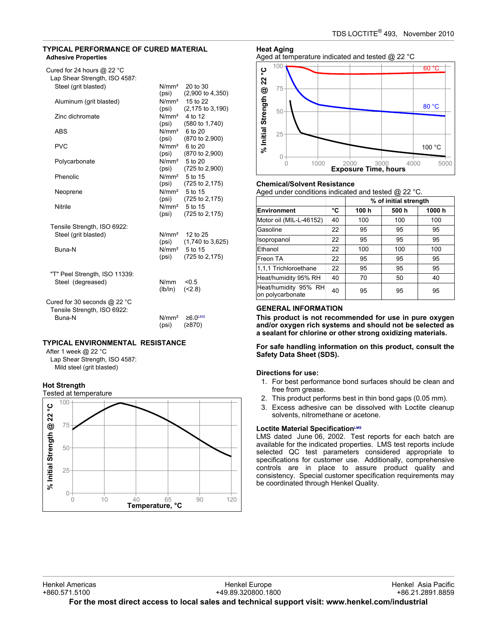# **TYPICAL PERFORMANCE OF CURED MATERIAL Adhesive Properties**

| Cured for 24 hours @ 22 $^{\circ}$ C |                   |                               |
|--------------------------------------|-------------------|-------------------------------|
| Lap Shear Strength, ISO 4587:        |                   |                               |
| Steel (grit blasted)                 | N/mm <sup>2</sup> | 20 to 30                      |
|                                      | (psi)             | $(2,900 \text{ to } 4,350)$   |
| Aluminum (grit blasted)              |                   | N/mm <sup>2</sup> 15 to 22    |
|                                      | (psi)             | $(2, 175 \text{ to } 3, 190)$ |
| Zinc dichromate                      | N/mm <sup>2</sup> | 4 to 12                       |
|                                      | (psi)             | (580 to 1,740)                |
| <b>ABS</b>                           | N/mm <sup>2</sup> | 6 to 20                       |
|                                      | (psi)             | (870 to 2,900)                |
| <b>PVC</b>                           |                   | N/mm <sup>2</sup> 6 to 20     |
|                                      | (psi)             | (870 to 2,900)                |
| Polycarbonate                        |                   | N/mm <sup>2</sup> 5 to 20     |
|                                      | (psi)             | (725 to 2,900)                |
| Phenolic                             |                   | N/mm <sup>2</sup> 5 to 15     |
|                                      | (psi)             | (725 to 2,175)                |
| Neoprene                             |                   | N/mm <sup>2</sup> 5 to 15     |
|                                      | (psi)             | (725 to 2,175)                |
| Nitrile                              | N/mm <sup>2</sup> | 5 to 15                       |
|                                      | (psi)             | (725 to 2,175)                |
|                                      |                   |                               |
| Tensile Strength, ISO 6922:          |                   |                               |
| Steel (grit blasted)                 |                   | $N/mm2$ 12 to 25              |
|                                      | (psi)             | $(1,740 \text{ to } 3,625)$   |
| Buna-N                               | N/mm <sup>2</sup> | 5 to 15                       |
|                                      | (psi)             | (725 to 2,175)                |
|                                      |                   |                               |
| "T" Peel Strength, ISO 11339:        |                   |                               |
| Steel (degreased)                    | N/mm              | < 0.5                         |
|                                      | (lb/in)           | (2.8)                         |
|                                      |                   |                               |
| Cured for 30 seconds @ 22 °C         |                   |                               |
| Tensile Strength, ISO 6922:          |                   |                               |
| <b>Buna-N</b>                        | N/mm <sup>2</sup> | $≥6.0$ <sup>LMS</sup>         |
|                                      | (psi)             | (≥870)                        |
|                                      |                   |                               |

# **TYPICAL ENVIRONMENTAL RESISTANCE**

After 1 week @ 22 °C Lap Shear Strength, ISO 4587: Mild steel (grit blasted)

## **Hot Strength**



**Heat Aging** Aged at temperature indicated and tested @ 22 °C



## **Chemical/Solvent Resistance**

Aged under conditions indicated and tested @ 22 °C.

|                                          |    | % of initial strength |       |       |
|------------------------------------------|----|-----------------------|-------|-------|
| <b>Environment</b>                       | °C | 100 h                 | 500 h | 1000h |
| Motor oil (MIL-L-46152)                  | 40 | 100                   | 100   | 100   |
| Gasoline                                 | 22 | 95                    | 95    | 95    |
| Isopropanol                              | 22 | 95                    | 95    | 95    |
| Ethanol                                  | 22 | 100                   | 100   | 100   |
| Freon TA                                 | 22 | 95                    | 95    | 95    |
| 1,1,1 Trichloroethane                    | 22 | 95                    | 95    | 95    |
| Heat/humidity 95% RH                     | 40 | 70                    | 50    | 40    |
| Heat/humidity 95% RH<br>on polycarbonate | 40 | 95                    | 95    | 95    |

# **GENERAL INFORMATION**

**This product is not recommended for use in pure oxygen and/or oxygen rich systems and should not be selected as a sealant for chlorine or other strong oxidizing materials.**

**For safe handling information on this product, consult the Safety Data Sheet (SDS).**

# **Directions for use:**

- 1. For best performance bond surfaces should be clean and free from grease.
- 2. This product performs best in thin bond gaps (0.05 mm).
- 3. Excess adhesive can be dissolved with Loctite cleanup solvents, nitromethane or acetone.

# **Loctite Material SpecificationLMS**

LMS dated June 06, 2002. Test reports for each batch are available for the indicated properties. LMS test reports include selected QC test parameters considered appropriate to specifications for customer use. Additionally, comprehensive controls are in place to assure product quality and consistency. Special customer specification requirements may be coordinated through Henkel Quality.